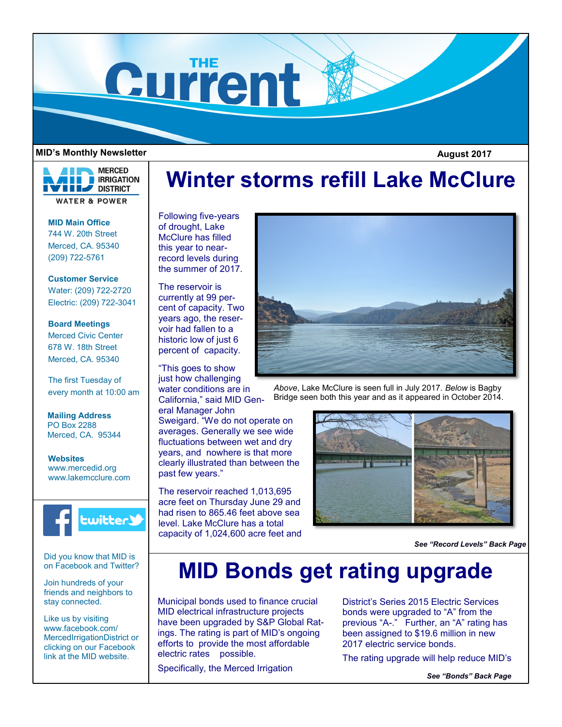

#### **MID's Monthly Newsletter August 2017**

**MERCED IRRIGATION THE DISTRICT WATER & POWER** 

**MID Main Office** 744 W. 20th Street Merced, CA. 95340 (209) 722-5761

**Customer Service** Water: (209) 722-2720 Electric: (209) 722-3041

**Board Meetings** Merced Civic Center 678 W. 18th Street Merced, CA. 95340

The first Tuesday of every month at 10:00 am

**Mailing Address** PO Box 2288 Merced, CA. 95344

**Websites** www.mercedid.org www.lakemcclure.com



Did you know that MID is on Facebook and Twitter?

Join hundreds of your friends and neighbors to stay connected.

Like us by visiting www.facebook.com/ MercedIrrigationDistrict or clicking on our Facebook link at the MID website.

# **Winter storms refill Lake McClure**

Following five-years of drought, Lake McClure has filled this year to nearrecord levels during the summer of 2017.

The reservoir is currently at 99 percent of capacity. Two years ago, the reservoir had fallen to a historic low of just 6 percent of capacity.

"This goes to show just how challenging water conditions are in California," said MID Gen-

eral Manager John Sweigard. "We do not operate on averages. Generally we see wide fluctuations between wet and dry years, and nowhere is that more clearly illustrated than between the past few years."

The reservoir reached 1,013,695 acre feet on Thursday June 29 and had risen to 865.46 feet above sea level. Lake McClure has a total capacity of 1,024,600 acre feet and



*Above*, Lake McClure is seen full in July 2017. *Below* is Bagby Bridge seen both this year and as it appeared in October 2014.



*See "Record Levels" Back Page*

## **MID Bonds get rating upgrade**

Municipal bonds used to finance crucial MID electrical infrastructure projects have been upgraded by S&P Global Ratings. The rating is part of MID's ongoing efforts to provide the most affordable electric rates possible.

Specifically, the Merced Irrigation

District's Series 2015 Electric Services bonds were upgraded to "A" from the previous "A-." Further, an "A" rating has been assigned to \$19.6 million in new 2017 electric service bonds.

The rating upgrade will help reduce MID's

*See "Bonds" Back Page*